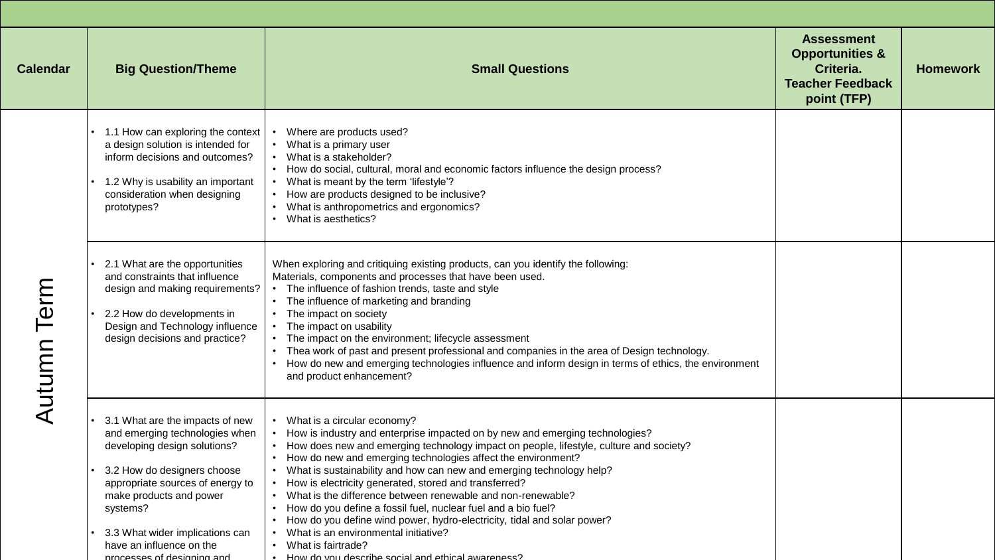| <b>Calendar</b> | <b>Big Question/Theme</b>                                                                                                                                                                                                                                                                                | <b>Small Questions</b>                                                                                                                                                                                                                                                                                                                                                                                                                                                                                                                                                                                                                                                                                                                   | <b>Assessment</b><br><b>Opportunities &amp;</b><br>Criteria.<br><b>Teacher Feedback</b><br>point (TFP) | <b>Homework</b> |
|-----------------|----------------------------------------------------------------------------------------------------------------------------------------------------------------------------------------------------------------------------------------------------------------------------------------------------------|------------------------------------------------------------------------------------------------------------------------------------------------------------------------------------------------------------------------------------------------------------------------------------------------------------------------------------------------------------------------------------------------------------------------------------------------------------------------------------------------------------------------------------------------------------------------------------------------------------------------------------------------------------------------------------------------------------------------------------------|--------------------------------------------------------------------------------------------------------|-----------------|
| Autumn Term     | 1.1 How can exploring the context<br>a design solution is intended for<br>inform decisions and outcomes?<br>1.2 Why is usability an important<br>consideration when designing<br>prototypes?                                                                                                             | Where are products used?<br>What is a primary user<br>What is a stakeholder?<br>• How do social, cultural, moral and economic factors influence the design process?<br>What is meant by the term 'lifestyle'?<br>How are products designed to be inclusive?<br>What is anthropometrics and ergonomics?<br>What is aesthetics?                                                                                                                                                                                                                                                                                                                                                                                                            |                                                                                                        |                 |
|                 | 2.1 What are the opportunities<br>and constraints that influence<br>design and making requirements?<br>2.2 How do developments in<br>Design and Technology influence<br>design decisions and practice?                                                                                                   | When exploring and critiquing existing products, can you identify the following:<br>Materials, components and processes that have been used.<br>The influence of fashion trends, taste and style<br>• The influence of marketing and branding<br>• The impact on society<br>The impact on usability<br>The impact on the environment; lifecycle assessment<br>Thea work of past and present professional and companies in the area of Design technology.<br>How do new and emerging technologies influence and inform design in terms of ethics, the environment<br>and product enhancement?                                                                                                                                             |                                                                                                        |                 |
|                 | 3.1 What are the impacts of new<br>and emerging technologies when<br>developing design solutions?<br>3.2 How do designers choose<br>appropriate sources of energy to<br>make products and power<br>systems?<br>3.3 What wider implications can<br>have an influence on the<br>processes of designing and | What is a circular economy?<br>How is industry and enterprise impacted on by new and emerging technologies?<br>How does new and emerging technology impact on people, lifestyle, culture and society?<br>How do new and emerging technologies affect the environment?<br>What is sustainability and how can new and emerging technology help?<br>How is electricity generated, stored and transferred?<br>• What is the difference between renewable and non-renewable?<br>How do you define a fossil fuel, nuclear fuel and a bio fuel?<br>How do you define wind power, hydro-electricity, tidal and solar power?<br>What is an environmental initiative?<br>• What is fairtrade?<br>How do you describe social and ethical awareness? |                                                                                                        |                 |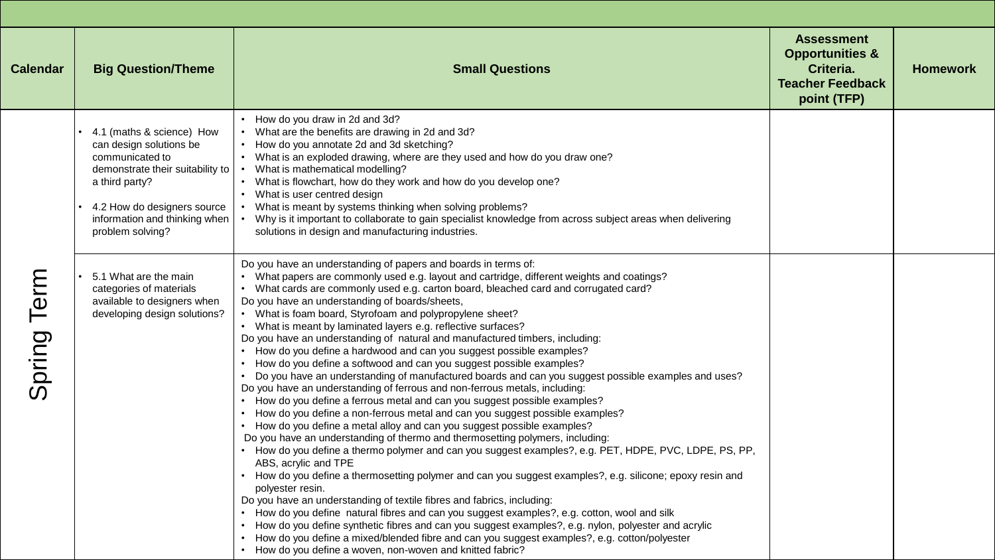| <b>Calendar</b> | <b>Big Question/Theme</b>                                                                                                                                                                                         | <b>Small Questions</b>                                                                                                                                                                                                                                                                                                                                                                                                                                                                                                                                                                                                                                                                                                                                                                                                                                                                                                                                                                                                                                                                                                                                                                                                                                                                                                                                                                                                                                                                                                                                                                                                                                                                                                                                                                                                                                                                                          | <b>Assessment</b><br><b>Opportunities &amp;</b><br>Criteria.<br><b>Teacher Feedback</b><br>point (TFP) | <b>Homework</b> |
|-----------------|-------------------------------------------------------------------------------------------------------------------------------------------------------------------------------------------------------------------|-----------------------------------------------------------------------------------------------------------------------------------------------------------------------------------------------------------------------------------------------------------------------------------------------------------------------------------------------------------------------------------------------------------------------------------------------------------------------------------------------------------------------------------------------------------------------------------------------------------------------------------------------------------------------------------------------------------------------------------------------------------------------------------------------------------------------------------------------------------------------------------------------------------------------------------------------------------------------------------------------------------------------------------------------------------------------------------------------------------------------------------------------------------------------------------------------------------------------------------------------------------------------------------------------------------------------------------------------------------------------------------------------------------------------------------------------------------------------------------------------------------------------------------------------------------------------------------------------------------------------------------------------------------------------------------------------------------------------------------------------------------------------------------------------------------------------------------------------------------------------------------------------------------------|--------------------------------------------------------------------------------------------------------|-----------------|
| Spring Term     | 4.1 (maths & science) How<br>can design solutions be<br>communicated to<br>demonstrate their suitability to<br>a third party?<br>4.2 How do designers source<br>information and thinking when<br>problem solving? | • How do you draw in 2d and 3d?<br>What are the benefits are drawing in 2d and 3d?<br>• How do you annotate 2d and 3d sketching?<br>• What is an exploded drawing, where are they used and how do you draw one?<br>What is mathematical modelling?<br>• What is flowchart, how do they work and how do you develop one?<br>• What is user centred design<br>• What is meant by systems thinking when solving problems?<br>Why is it important to collaborate to gain specialist knowledge from across subject areas when delivering<br>solutions in design and manufacturing industries.                                                                                                                                                                                                                                                                                                                                                                                                                                                                                                                                                                                                                                                                                                                                                                                                                                                                                                                                                                                                                                                                                                                                                                                                                                                                                                                        |                                                                                                        |                 |
|                 | 5.1 What are the main<br>categories of materials<br>available to designers when<br>developing design solutions?                                                                                                   | Do you have an understanding of papers and boards in terms of:<br>• What papers are commonly used e.g. layout and cartridge, different weights and coatings?<br>• What cards are commonly used e.g. carton board, bleached card and corrugated card?<br>Do you have an understanding of boards/sheets,<br>• What is foam board, Styrofoam and polypropylene sheet?<br>• What is meant by laminated layers e.g. reflective surfaces?<br>Do you have an understanding of natural and manufactured timbers, including:<br>• How do you define a hardwood and can you suggest possible examples?<br>• How do you define a softwood and can you suggest possible examples?<br>• Do you have an understanding of manufactured boards and can you suggest possible examples and uses?<br>Do you have an understanding of ferrous and non-ferrous metals, including:<br>• How do you define a ferrous metal and can you suggest possible examples?<br>• How do you define a non-ferrous metal and can you suggest possible examples?<br>• How do you define a metal alloy and can you suggest possible examples?<br>Do you have an understanding of thermo and thermosetting polymers, including:<br>• How do you define a thermo polymer and can you suggest examples?, e.g. PET, HDPE, PVC, LDPE, PS, PP,<br>ABS, acrylic and TPE<br>• How do you define a thermosetting polymer and can you suggest examples?, e.g. silicone; epoxy resin and<br>polyester resin.<br>Do you have an understanding of textile fibres and fabrics, including:<br>• How do you define natural fibres and can you suggest examples?, e.g. cotton, wool and silk<br>• How do you define synthetic fibres and can you suggest examples?, e.g. nylon, polyester and acrylic<br>• How do you define a mixed/blended fibre and can you suggest examples?, e.g. cotton/polyester<br>• How do you define a woven, non-woven and knitted fabric? |                                                                                                        |                 |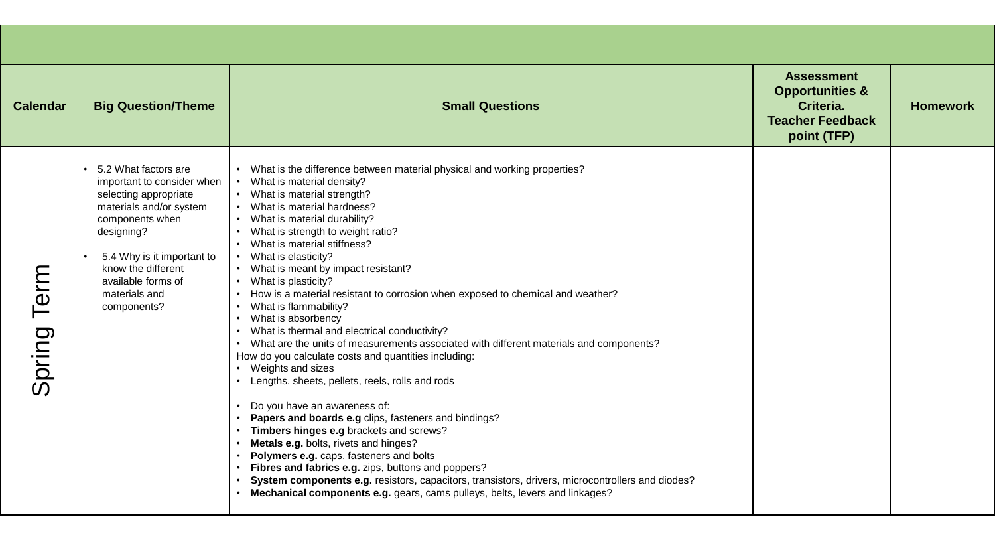| <b>Calendar</b> | <b>Big Question/Theme</b>                                                                                                                                                                                                                         | <b>Small Questions</b>                                                                                                                                                                                                                                                                                                                                                                                                                                                                                                                                                                                                                                                                                                                                                                                                                                                                                                                                                                                                                                                                                                                                                                                                                                             | <b>Assessment</b><br><b>Opportunities &amp;</b><br>Criteria.<br><b>Teacher Feedback</b><br>point (TFP) | <b>Homework</b> |
|-----------------|---------------------------------------------------------------------------------------------------------------------------------------------------------------------------------------------------------------------------------------------------|--------------------------------------------------------------------------------------------------------------------------------------------------------------------------------------------------------------------------------------------------------------------------------------------------------------------------------------------------------------------------------------------------------------------------------------------------------------------------------------------------------------------------------------------------------------------------------------------------------------------------------------------------------------------------------------------------------------------------------------------------------------------------------------------------------------------------------------------------------------------------------------------------------------------------------------------------------------------------------------------------------------------------------------------------------------------------------------------------------------------------------------------------------------------------------------------------------------------------------------------------------------------|--------------------------------------------------------------------------------------------------------|-----------------|
| Term<br>Spring  | 5.2 What factors are<br>important to consider when<br>selecting appropriate<br>materials and/or system<br>components when<br>designing?<br>5.4 Why is it important to<br>know the different<br>available forms of<br>materials and<br>components? | • What is the difference between material physical and working properties?<br>What is material density?<br>• What is material strength?<br>• What is material hardness?<br>• What is material durability?<br>What is strength to weight ratio?<br>• What is material stiffness?<br>• What is elasticity?<br>• What is meant by impact resistant?<br>• What is plasticity?<br>• How is a material resistant to corrosion when exposed to chemical and weather?<br>• What is flammability?<br>• What is absorbency<br>• What is thermal and electrical conductivity?<br>• What are the units of measurements associated with different materials and components?<br>How do you calculate costs and quantities including:<br>• Weights and sizes<br>• Lengths, sheets, pellets, reels, rolls and rods<br>Do you have an awareness of:<br>Papers and boards e.g clips, fasteners and bindings?<br>Timbers hinges e.g brackets and screws?<br>Metals e.g. bolts, rivets and hinges?<br>Polymers e.g. caps, fasteners and bolts<br>Fibres and fabrics e.g. zips, buttons and poppers?<br>System components e.g. resistors, capacitors, transistors, drivers, microcontrollers and diodes?<br>Mechanical components e.g. gears, cams pulleys, belts, levers and linkages? |                                                                                                        |                 |